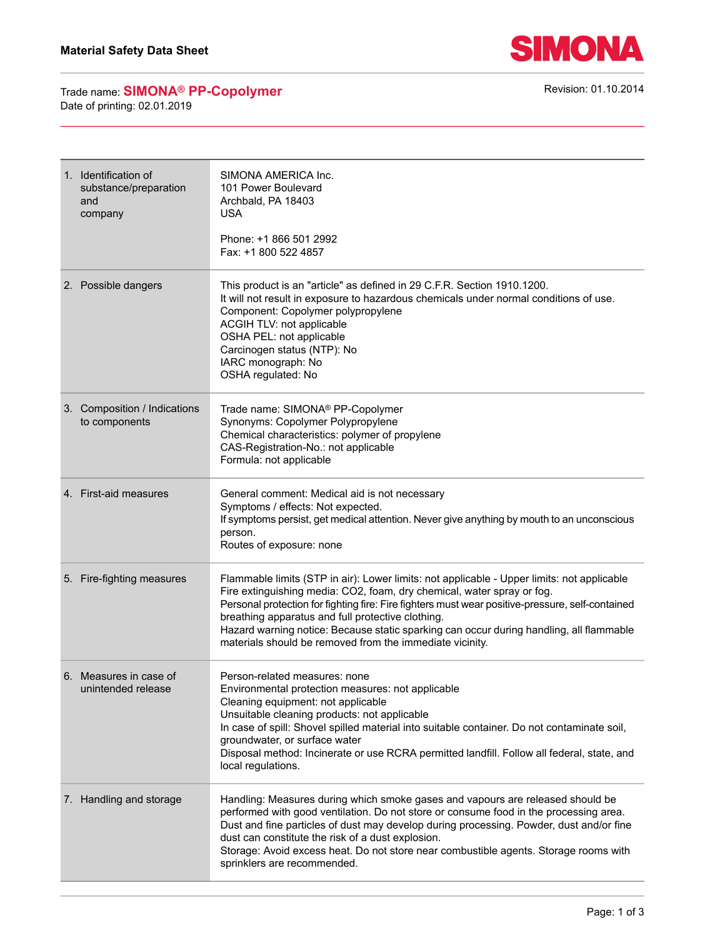

Trade name: **SIMONA<sup>®</sup> PP-Copolymer Revision: 01.10.2014** Revision: 01.10.2014 Date of printing: 02.01.2019

| 1. Identification of<br>substance/preparation<br>and<br>company | SIMONA AMERICA Inc.<br>101 Power Boulevard<br>Archbald, PA 18403<br><b>USA</b><br>Phone: +1 866 501 2992<br>Fax: +1 800 522 4857                                                                                                                                                                                                                                                                                                                                                     |
|-----------------------------------------------------------------|--------------------------------------------------------------------------------------------------------------------------------------------------------------------------------------------------------------------------------------------------------------------------------------------------------------------------------------------------------------------------------------------------------------------------------------------------------------------------------------|
| 2. Possible dangers                                             | This product is an "article" as defined in 29 C.F.R. Section 1910.1200.<br>It will not result in exposure to hazardous chemicals under normal conditions of use.<br>Component: Copolymer polypropylene<br>ACGIH TLV: not applicable<br>OSHA PEL: not applicable<br>Carcinogen status (NTP): No<br>IARC monograph: No<br>OSHA regulated: No                                                                                                                                           |
| 3. Composition / Indications<br>to components                   | Trade name: SIMONA® PP-Copolymer<br>Synonyms: Copolymer Polypropylene<br>Chemical characteristics: polymer of propylene<br>CAS-Registration-No.: not applicable<br>Formula: not applicable                                                                                                                                                                                                                                                                                           |
| 4. First-aid measures                                           | General comment: Medical aid is not necessary<br>Symptoms / effects: Not expected.<br>If symptoms persist, get medical attention. Never give anything by mouth to an unconscious<br>person.<br>Routes of exposure: none                                                                                                                                                                                                                                                              |
| 5. Fire-fighting measures                                       | Flammable limits (STP in air): Lower limits: not applicable - Upper limits: not applicable<br>Fire extinguishing media: CO2, foam, dry chemical, water spray or fog.<br>Personal protection for fighting fire: Fire fighters must wear positive-pressure, self-contained<br>breathing apparatus and full protective clothing.<br>Hazard warning notice: Because static sparking can occur during handling, all flammable<br>materials should be removed from the immediate vicinity. |
| 6. Measures in case of<br>unintended release                    | Person-related measures: none<br>Environmental protection measures: not applicable<br>Cleaning equipment: not applicable<br>Unsuitable cleaning products: not applicable<br>In case of spill: Shovel spilled material into suitable container. Do not contaminate soil,<br>groundwater, or surface water<br>Disposal method: Incinerate or use RCRA permitted landfill. Follow all federal, state, and<br>local regulations.                                                         |
| 7. Handling and storage                                         | Handling: Measures during which smoke gases and vapours are released should be<br>performed with good ventilation. Do not store or consume food in the processing area.<br>Dust and fine particles of dust may develop during processing. Powder, dust and/or fine<br>dust can constitute the risk of a dust explosion.<br>Storage: Avoid excess heat. Do not store near combustible agents. Storage rooms with<br>sprinklers are recommended.                                       |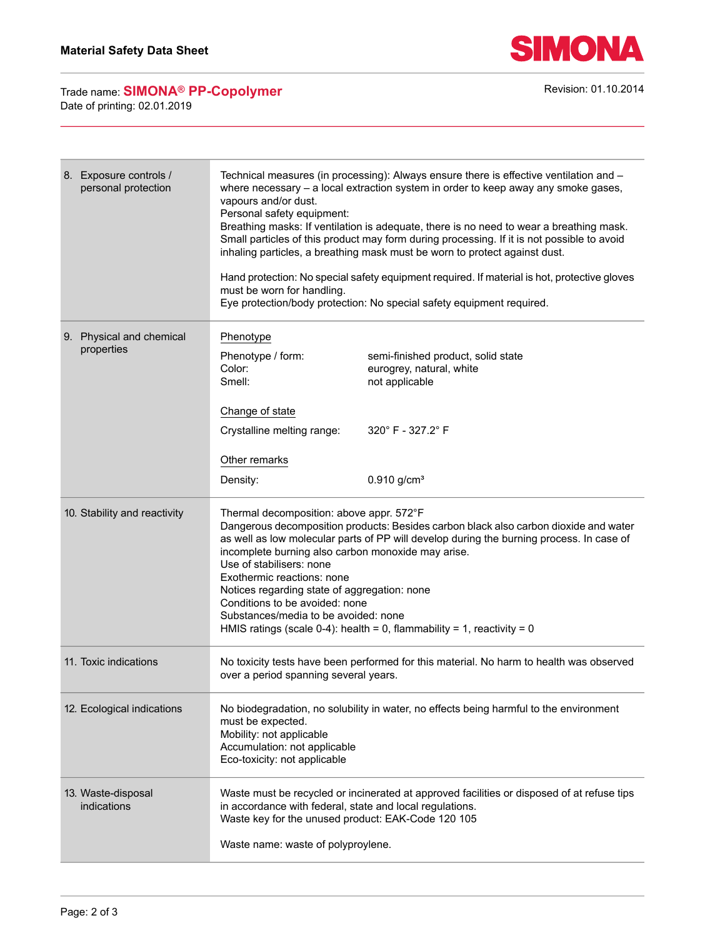

Trade name: **SIMONA<sup>®</sup> PP-Copolymer Revision: 01.10.2014** Revision: 01.10.2014 Date of printing: 02.01.2019

| 8. Exposure controls /<br>personal protection | Technical measures (in processing): Always ensure there is effective ventilation and -<br>where necessary $-$ a local extraction system in order to keep away any smoke gases,<br>vapours and/or dust.<br>Personal safety equipment:<br>Breathing masks: If ventilation is adequate, there is no need to wear a breathing mask.<br>Small particles of this product may form during processing. If it is not possible to avoid<br>inhaling particles, a breathing mask must be worn to protect against dust.<br>Hand protection: No special safety equipment required. If material is hot, protective gloves<br>must be worn for handling.<br>Eye protection/body protection: No special safety equipment required. |                                                                                  |  |
|-----------------------------------------------|--------------------------------------------------------------------------------------------------------------------------------------------------------------------------------------------------------------------------------------------------------------------------------------------------------------------------------------------------------------------------------------------------------------------------------------------------------------------------------------------------------------------------------------------------------------------------------------------------------------------------------------------------------------------------------------------------------------------|----------------------------------------------------------------------------------|--|
| 9. Physical and chemical                      | Phenotype                                                                                                                                                                                                                                                                                                                                                                                                                                                                                                                                                                                                                                                                                                          |                                                                                  |  |
| properties                                    | Phenotype / form:<br>Color:<br>Smell:                                                                                                                                                                                                                                                                                                                                                                                                                                                                                                                                                                                                                                                                              | semi-finished product, solid state<br>eurogrey, natural, white<br>not applicable |  |
|                                               | Change of state                                                                                                                                                                                                                                                                                                                                                                                                                                                                                                                                                                                                                                                                                                    |                                                                                  |  |
|                                               | Crystalline melting range:                                                                                                                                                                                                                                                                                                                                                                                                                                                                                                                                                                                                                                                                                         | 320° F - 327.2° F                                                                |  |
|                                               | Other remarks                                                                                                                                                                                                                                                                                                                                                                                                                                                                                                                                                                                                                                                                                                      |                                                                                  |  |
|                                               | Density:                                                                                                                                                                                                                                                                                                                                                                                                                                                                                                                                                                                                                                                                                                           | $0.910$ g/cm <sup>3</sup>                                                        |  |
| 10. Stability and reactivity                  | Thermal decomposition: above appr. 572°F<br>Dangerous decomposition products: Besides carbon black also carbon dioxide and water<br>as well as low molecular parts of PP will develop during the burning process. In case of<br>incomplete burning also carbon monoxide may arise.<br>Use of stabilisers: none<br>Exothermic reactions: none<br>Notices regarding state of aggregation: none<br>Conditions to be avoided: none<br>Substances/media to be avoided: none<br>HMIS ratings (scale 0-4): health = 0, flammability = 1, reactivity = 0                                                                                                                                                                   |                                                                                  |  |
| 11. Toxic indications                         | No toxicity tests have been performed for this material. No harm to health was observed<br>over a period spanning several years.                                                                                                                                                                                                                                                                                                                                                                                                                                                                                                                                                                                   |                                                                                  |  |
| 12. Ecological indications                    | No biodegradation, no solubility in water, no effects being harmful to the environment<br>must be expected.<br>Mobility: not applicable<br>Accumulation: not applicable<br>Eco-toxicity: not applicable                                                                                                                                                                                                                                                                                                                                                                                                                                                                                                            |                                                                                  |  |
| 13. Waste-disposal<br>indications             | Waste must be recycled or incinerated at approved facilities or disposed of at refuse tips<br>in accordance with federal, state and local regulations.<br>Waste key for the unused product: EAK-Code 120 105                                                                                                                                                                                                                                                                                                                                                                                                                                                                                                       |                                                                                  |  |
|                                               | Waste name: waste of polyproylene.                                                                                                                                                                                                                                                                                                                                                                                                                                                                                                                                                                                                                                                                                 |                                                                                  |  |